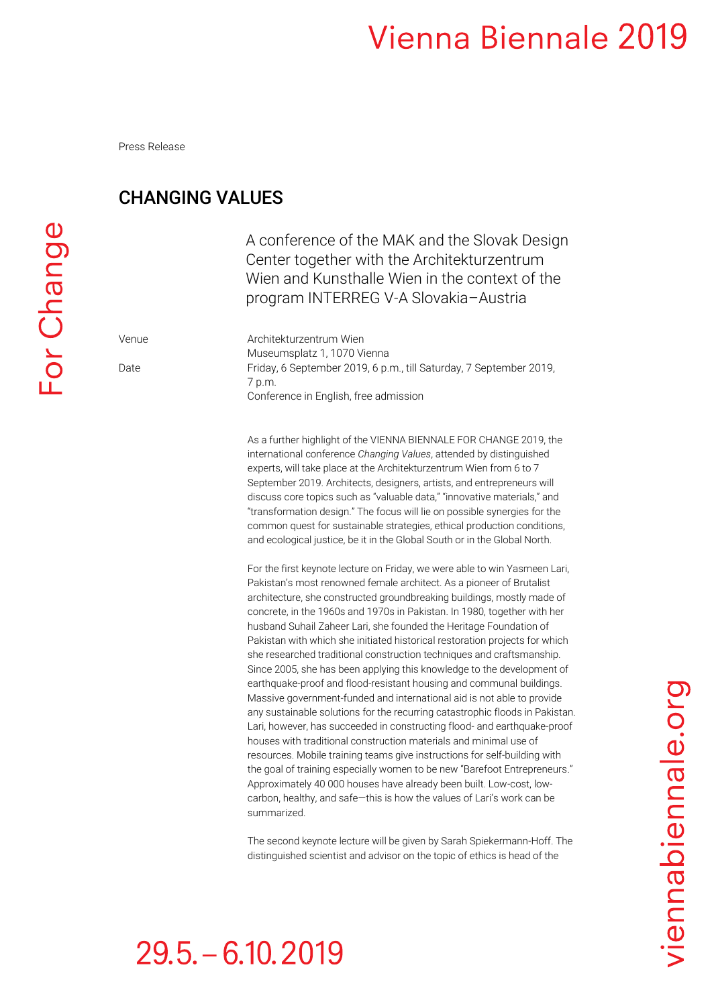Press Release

### CHANGING VALUES

 $29.5 - 6.10, 2019$ 

A conference of the MAK and the Slovak Design Center together with the Architekturzentrum Wien and Kunsthalle Wien in the context of the program INTERREG V-A Slovakia–Austria

Venue Architekturzentrum Wien Museumsplatz 1, 1070 Vienna Date Friday, 6 September 2019, 6 p.m., till Saturday, 7 September 2019, 7 p.m. Conference in English, free admission

> As a further highlight of the VIENNA BIENNALE FOR CHANGE 2019, the international conference *Changing Values*, attended by distinguished experts, will take place at the Architekturzentrum Wien from 6 to 7 September 2019. Architects, designers, artists, and entrepreneurs will discuss core topics such as "valuable data," "innovative materials," and "transformation design." The focus will lie on possible synergies for the common quest for sustainable strategies, ethical production conditions, and ecological justice, be it in the Global South or in the Global North.

For the first keynote lecture on Friday, we were able to win Yasmeen Lari, Pakistan's most renowned female architect. As a pioneer of Brutalist architecture, she constructed groundbreaking buildings, mostly made of concrete, in the 1960s and 1970s in Pakistan. In 1980, together with her husband Suhail Zaheer Lari, she founded the Heritage Foundation of Pakistan with which she initiated historical restoration projects for which she researched traditional construction techniques and craftsmanship. Since 2005, she has been applying this knowledge to the development of earthquake-proof and flood-resistant housing and communal buildings. Massive government-funded and international aid is not able to provide any sustainable solutions for the recurring catastrophic floods in Pakistan. Lari, however, has succeeded in constructing flood- and earthquake-proof houses with traditional construction materials and minimal use of resources. Mobile training teams give instructions for self-building with the goal of training especially women to be new "Barefoot Entrepreneurs." Approximately 40 000 houses have already been built. Low-cost, lowcarbon, healthy, and safe—this is how the values of Lari's work can be summarized.

The second keynote lecture will be given by Sarah Spiekermann-Hoff. The distinguished scientist and advisor on the topic of ethics is head of the

# viennabiennale.org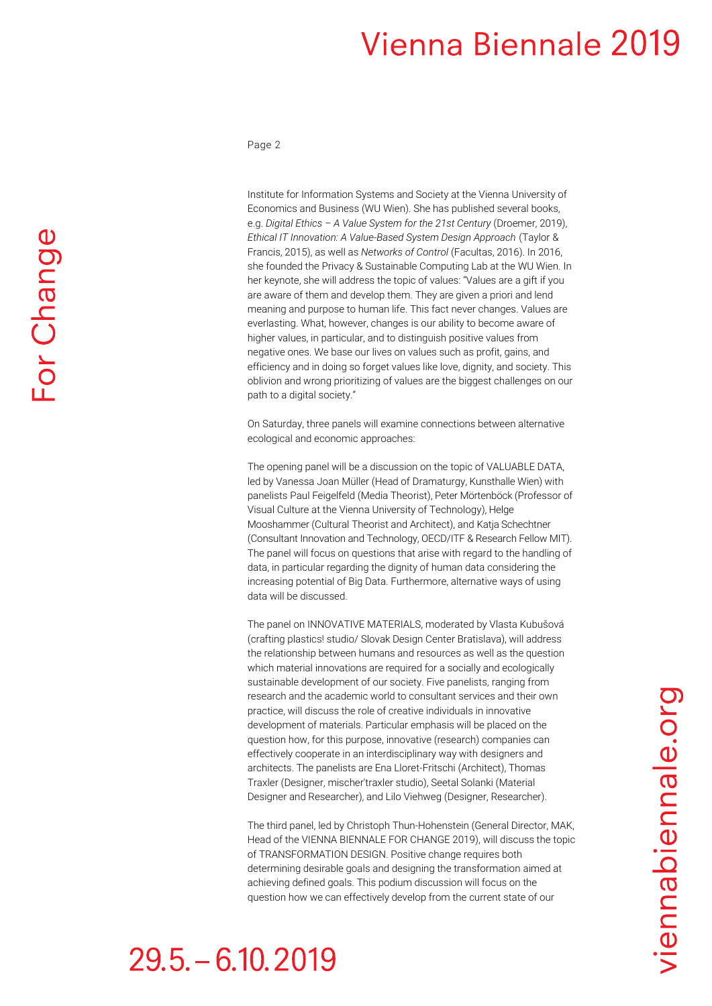Page 2

Institute for Information Systems and Society at the Vienna University of Economics and Business (WU Wien). She has published several books, e.g. *Digital Ethics – A Value System for the 21st Century* (Droemer, 2019), *Ethical IT Innovation: A Value-Based System Design Approach* (Taylor & Francis, 2015), as well as *Networks of Control* (Facultas, 2016). In 2016, she founded the Privacy & Sustainable Computing Lab at the WU Wien. In her keynote, she will address the topic of values: "Values are a gift if you are aware of them and develop them. They are given a priori and lend meaning and purpose to human life. This fact never changes. Values are everlasting. What, however, changes is our ability to become aware of higher values, in particular, and to distinguish positive values from negative ones. We base our lives on values such as profit, gains, and efficiency and in doing so forget values like love, dignity, and society. This oblivion and wrong prioritizing of values are the biggest challenges on our path to a digital society."

On Saturday, three panels will examine connections between alternative ecological and economic approaches:

The opening panel will be a discussion on the topic of VALUABLE DATA. led by Vanessa Joan Müller (Head of Dramaturgy, Kunsthalle Wien) with panelists Paul Feigelfeld (Media Theorist), Peter Mörtenböck (Professor of Visual Culture at the Vienna University of Technology), Helge Mooshammer (Cultural Theorist and Architect), and Katia Schechtner (Consultant Innovation and Technology, OECD/ITF & Research Fellow MIT). The panel will focus on questions that arise with regard to the handling of data, in particular regarding the dignity of human data considering the increasing potential of Big Data. Furthermore, alternative ways of using data will be discussed.

The panel on INNOVATIVE MATERIALS, moderated by Vlasta Kubušová (crafting plastics! studio/ Slovak Design Center Bratislava), will address the relationship between humans and resources as well as the question which material innovations are required for a socially and ecologically sustainable development of our society. Five panelists, ranging from research and the academic world to consultant services and their own practice, will discuss the role of creative individuals in innovative development of materials. Particular emphasis will be placed on the question how, for this purpose, innovative (research) companies can effectively cooperate in an interdisciplinary way with designers and architects. The panelists are Ena Lloret-Fritschi (Architect), Thomas Traxler (Designer, mischer'traxler studio), Seetal Solanki (Material Designer and Researcher), and Lilo Viehweg (Designer, Researcher).

The third panel, led by Christoph Thun-Hohenstein (General Director, MAK, Head of the VIENNA BIENNALE FOR CHANGE 2019), will discuss the topic of TRANSFORMATION DESIGN. Positive change requires both determining desirable goals and designing the transformation aimed at achieving defined goals. This podium discussion will focus on the question how we can effectively develop from the current state of our

# $29.5 - 6.10.2019$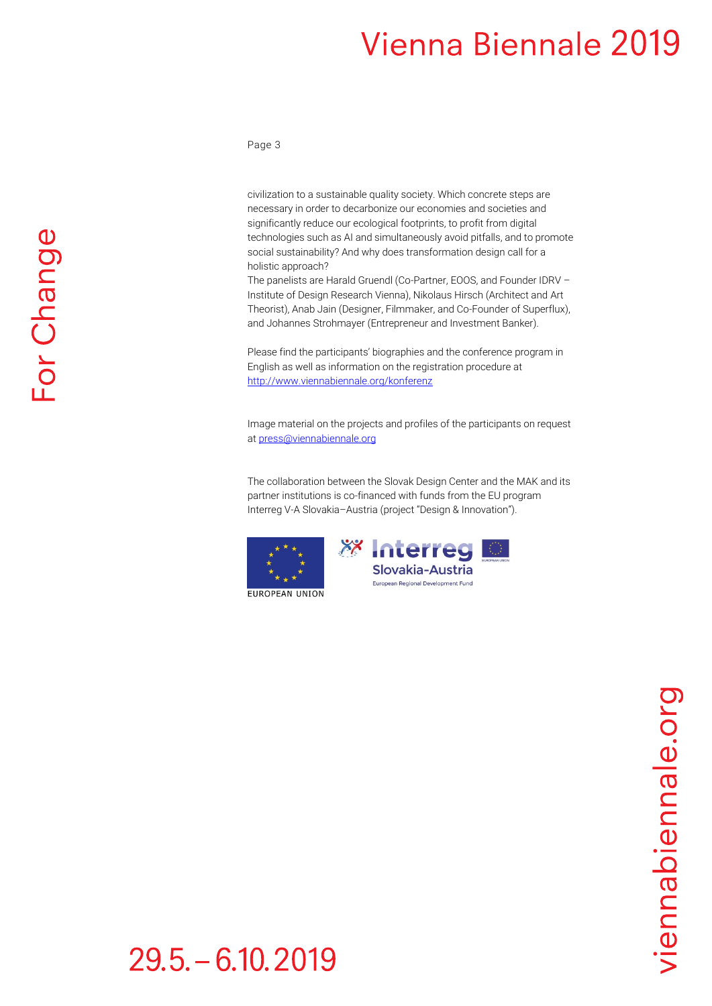Page 3

civilization to a sustainable quality society. Which concrete steps are necessary in order to decarbonize our economies and societies and significantly reduce our ecological footprints, to profit from digital technologies such as AI and simultaneously avoid pitfalls, and to promote social sustainability? And why does transformation design call for a holistic approach?

The panelists are Harald Gruendl (Co-Partner, EOOS, and Founder IDRV – Institute of Design Research Vienna), Nikolaus Hirsch (Architect and Art Theorist), Anab Jain (Designer, Filmmaker, and Co-Founder of Superflux), and Johannes Strohmayer (Entrepreneur and Investment Banker).

Please find the participants' biographies and the conference program in English as well as information on the registration procedure at <http://www.viennabiennale.org/konferenz>

Image material on the projects and profiles of the participants on request a[t press@viennabiennale.org](mailto:press@viennabiennale.org)

The collaboration between the Slovak Design Center and the MAK and its partner institutions is co-financed with funds from the EU program Interreg V-A Slovakia–Austria (project "Design & Innovation").





European Regional Development Fund

**EUROPEAN UNION** 

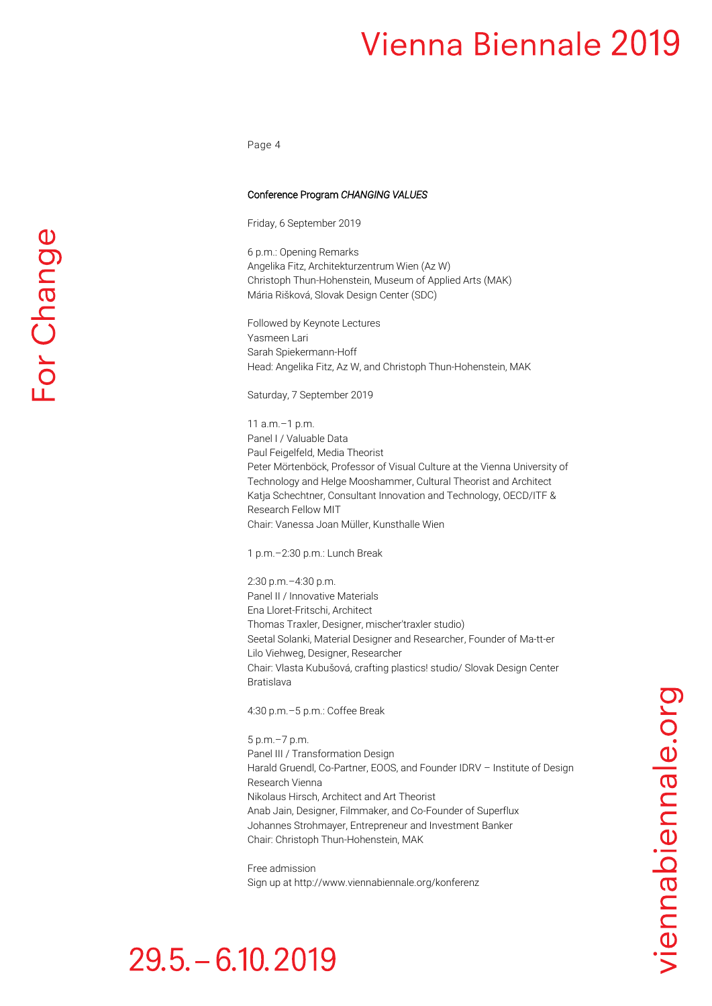Page 4

### Conference Program *CHANGING VALUES*

Friday, 6 September 2019

6 p.m.: Opening Remarks Angelika Fitz, Architekturzentrum Wien (Az W) Christoph Thun-Hohenstein, Museum of Applied Arts (MAK) Mária Rišková, Slovak Design Center (SDC)

Followed by Keynote Lectures Yasmeen Lari Sarah Spiekermann-Hoff Head: Angelika Fitz, Az W, and Christoph Thun-Hohenstein, MAK

Saturday, 7 September 2019

11 a.m.–1 p.m. Panel I / Valuable Data Paul Feigelfeld, Media Theorist Peter Mörtenböck, Professor of Visual Culture at the Vienna University of Technology and Helge Mooshammer, Cultural Theorist and Architect Katja Schechtner, Consultant Innovation and Technology, OECD/ITF & Research Fellow MIT Chair: Vanessa Joan Müller, Kunsthalle Wien

1 p.m.–2:30 p.m.: Lunch Break

2:30 p.m.–4:30 p.m. Panel II / Innovative Materials Ena Lloret-Fritschi, Architect Thomas Traxler, Designer, mischer'traxler studio) Seetal Solanki, Material Designer and Researcher, Founder of Ma-tt-er Lilo Viehweg, Designer, Researcher Chair: Vlasta Kubušová, crafting plastics! studio/ Slovak Design Center Bratislava

4:30 p.m.–5 p.m.: Coffee Break

5 p.m.–7 p.m. Panel III / Transformation Design Harald Gruendl, Co-Partner, EOOS, and Founder IDRV – Institute of Design Research Vienna Nikolaus Hirsch, Architect and Art Theorist Anab Jain, Designer, Filmmaker, and Co-Founder of Superflux Johannes Strohmayer, Entrepreneur and Investment Banker Chair: Christoph Thun-Hohenstein, MAK

Free admission Sign up at http://www.viennabiennale.org/konferenz

### $29.5 - 6.10, 2019$

For Change